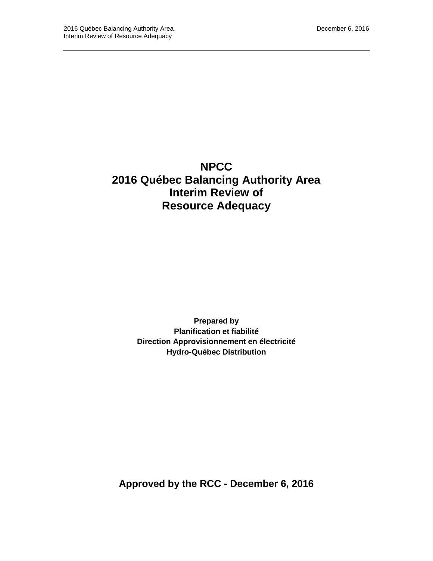# **NPCC 2016 Québec Balancing Authority Area Interim Review of Resource Adequacy**

**Prepared by Planification et fiabilité Direction Approvisionnement en électricité Hydro-Québec Distribution**

**Approved by the RCC - December 6, 2016**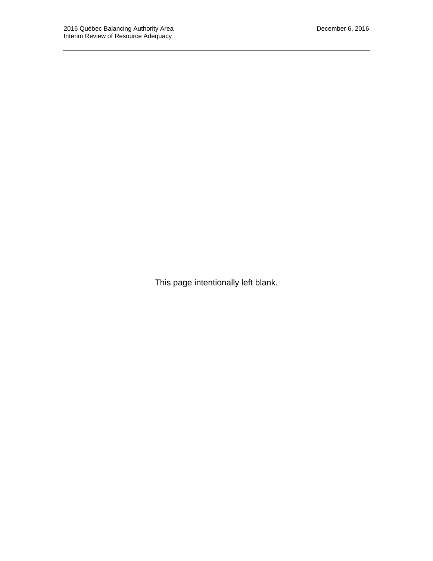This page intentionally left blank.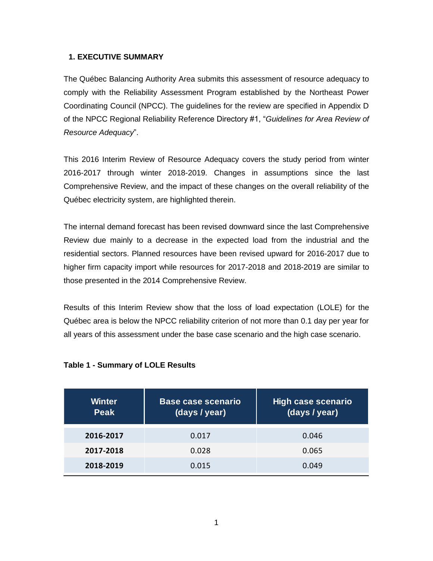## **1. EXECUTIVE SUMMARY**

The Québec Balancing Authority Area submits this assessment of resource adequacy to comply with the Reliability Assessment Program established by the Northeast Power Coordinating Council (NPCC). The guidelines for the review are specified in Appendix D of the NPCC Regional Reliability Reference Directory #1, "*Guidelines for Area Review of Resource Adequacy*".

This 2016 Interim Review of Resource Adequacy covers the study period from winter 2016-2017 through winter 2018-2019. Changes in assumptions since the last Comprehensive Review, and the impact of these changes on the overall reliability of the Québec electricity system, are highlighted therein.

The internal demand forecast has been revised downward since the last Comprehensive Review due mainly to a decrease in the expected load from the industrial and the residential sectors. Planned resources have been revised upward for 2016-2017 due to higher firm capacity import while resources for 2017-2018 and 2018-2019 are similar to those presented in the 2014 Comprehensive Review.

Results of this Interim Review show that the loss of load expectation (LOLE) for the Québec area is below the NPCC reliability criterion of not more than 0.1 day per year for all years of this assessment under the base case scenario and the high case scenario.

| <b>Winter</b><br><b>Peak</b> | <b>Base case scenario</b><br>(days / year) | High case scenario<br>(days / year) |
|------------------------------|--------------------------------------------|-------------------------------------|
| 2016-2017                    | 0.017                                      | 0.046                               |
| 2017-2018                    | 0.028                                      | 0.065                               |
| 2018-2019                    | 0.015                                      | 0.049                               |

## **Table 1 - Summary of LOLE Results**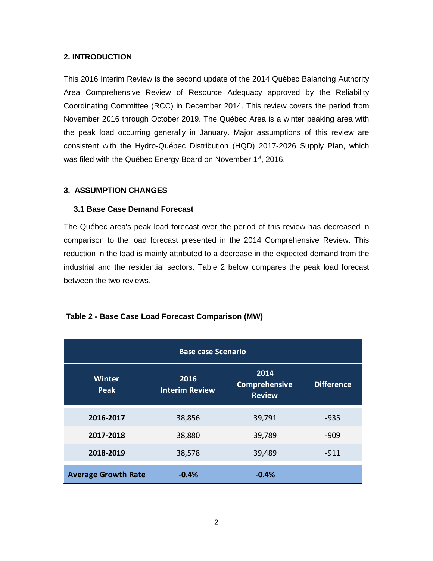## **2. INTRODUCTION**

This 2016 Interim Review is the second update of the 2014 Québec Balancing Authority Area Comprehensive Review of Resource Adequacy approved by the Reliability Coordinating Committee (RCC) in December 2014. This review covers the period from November 2016 through October 2019. The Québec Area is a winter peaking area with the peak load occurring generally in January. Major assumptions of this review are consistent with the Hydro-Québec Distribution (HQD) 2017-2026 Supply Plan, which was filed with the Québec Energy Board on November 1<sup>st</sup>, 2016.

### **3. ASSUMPTION CHANGES**

### **3.1 Base Case Demand Forecast**

The Québec area's peak load forecast over the period of this review has decreased in comparison to the load forecast presented in the 2014 Comprehensive Review. This reduction in the load is mainly attributed to a decrease in the expected demand from the industrial and the residential sectors. Table 2 below compares the peak load forecast between the two reviews.

## **Table 2 - Base Case Load Forecast Comparison (MW)**

| <b>Base case Scenario</b>  |                               |                                               |                   |  |  |
|----------------------------|-------------------------------|-----------------------------------------------|-------------------|--|--|
| Winter<br><b>Peak</b>      | 2016<br><b>Interim Review</b> | 2014<br><b>Comprehensive</b><br><b>Review</b> | <b>Difference</b> |  |  |
| 2016-2017                  | 38,856                        | 39,791                                        | $-935$            |  |  |
| 2017-2018                  | 38,880                        | 39,789                                        | $-909$            |  |  |
| 2018-2019                  | 38,578                        | 39,489                                        | $-911$            |  |  |
| <b>Average Growth Rate</b> | $-0.4%$                       | $-0.4%$                                       |                   |  |  |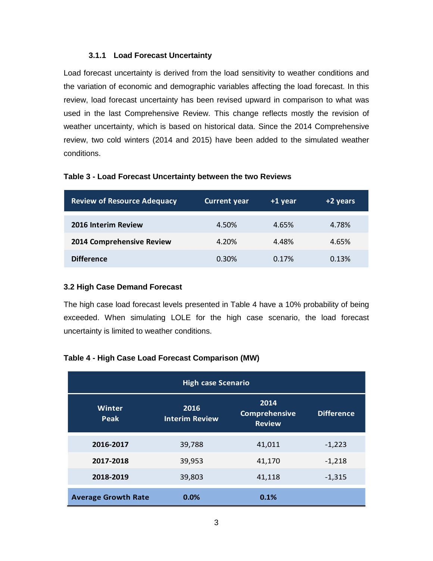## **3.1.1 Load Forecast Uncertainty**

Load forecast uncertainty is derived from the load sensitivity to weather conditions and the variation of economic and demographic variables affecting the load forecast. In this review, load forecast uncertainty has been revised upward in comparison to what was used in the last Comprehensive Review. This change reflects mostly the revision of weather uncertainty, which is based on historical data. Since the 2014 Comprehensive review, two cold winters (2014 and 2015) have been added to the simulated weather conditions.

| <b>Review of Resource Adequacy</b> | <b>Current year</b> | +1 year | +2 years |
|------------------------------------|---------------------|---------|----------|
|                                    |                     |         |          |
| <b>2016 Interim Review</b>         | 4.50%               | 4.65%   | 4.78%    |
|                                    |                     |         |          |
| 2014 Comprehensive Review          | 4.20%               | 4.48%   | 4.65%    |
|                                    |                     |         |          |
| <b>Difference</b>                  | 0.30%               | 0.17%   | 0.13%    |
|                                    |                     |         |          |

### **Table 3 - Load Forecast Uncertainty between the two Reviews**

## **3.2 High Case Demand Forecast**

The high case load forecast levels presented in Table 4 have a 10% probability of being exceeded. When simulating LOLE for the high case scenario, the load forecast uncertainty is limited to weather conditions.

# **Table 4 - High Case Load Forecast Comparison (MW)**

| <b>High case Scenario</b>  |                               |                                               |                   |  |  |
|----------------------------|-------------------------------|-----------------------------------------------|-------------------|--|--|
| Winter<br>Peak             | 2016<br><b>Interim Review</b> | 2014<br><b>Comprehensive</b><br><b>Review</b> | <b>Difference</b> |  |  |
| 2016-2017                  | 39,788                        | 41,011                                        | $-1,223$          |  |  |
| 2017-2018                  | 39,953                        | 41,170                                        | $-1,218$          |  |  |
| 2018-2019                  | 39,803                        | 41,118                                        | $-1,315$          |  |  |
| <b>Average Growth Rate</b> | 0.0%                          | 0.1%                                          |                   |  |  |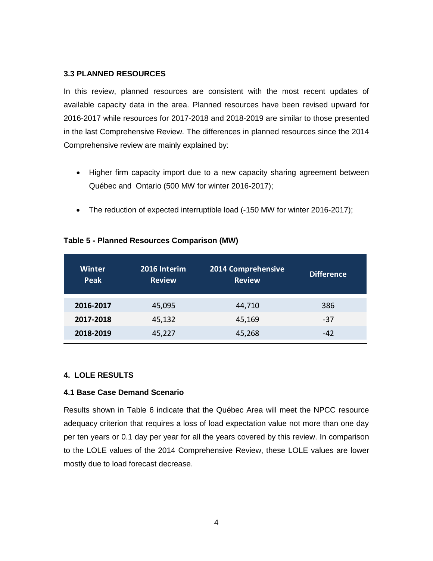## **3.3 PLANNED RESOURCES**

In this review, planned resources are consistent with the most recent updates of available capacity data in the area. Planned resources have been revised upward for 2016-2017 while resources for 2017-2018 and 2018-2019 are similar to those presented in the last Comprehensive Review. The differences in planned resources since the 2014 Comprehensive review are mainly explained by:

- Higher firm capacity import due to a new capacity sharing agreement between Québec and Ontario (500 MW for winter 2016-2017);
- The reduction of expected interruptible load (-150 MW for winter 2016-2017);

| Winter<br>Peak | 2016 Interim<br><b>Review</b> | 2014 Comprehensive<br><b>Review</b> | <b>Difference</b> |
|----------------|-------------------------------|-------------------------------------|-------------------|
| 2016-2017      | 45,095                        | 44,710                              | 386               |
| 2017-2018      | 45,132                        | 45,169                              | -37               |
| 2018-2019      | 45,227                        | 45,268                              | $-42$             |

#### **Table 5 - Planned Resources Comparison (MW)**

### **4. LOLE RESULTS**

#### **4.1 Base Case Demand Scenario**

Results shown in Table 6 indicate that the Québec Area will meet the NPCC resource adequacy criterion that requires a loss of load expectation value not more than one day per ten years or 0.1 day per year for all the years covered by this review. In comparison to the LOLE values of the 2014 Comprehensive Review, these LOLE values are lower mostly due to load forecast decrease.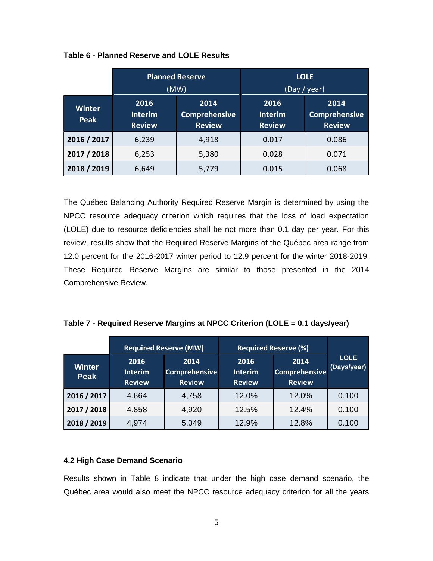|                              | <b>Planned Reserve</b><br>(MW)                                                    |       | <b>LOLE</b><br>(Day / year)             |                                        |
|------------------------------|-----------------------------------------------------------------------------------|-------|-----------------------------------------|----------------------------------------|
| <b>Winter</b><br><b>Peak</b> | 2014<br>2016<br>Comprehensive<br><b>Interim</b><br><b>Review</b><br><b>Review</b> |       | 2016<br><b>Interim</b><br><b>Review</b> | 2014<br>Comprehensive<br><b>Review</b> |
| 2016 / 2017                  | 6,239                                                                             | 4,918 | 0.017                                   | 0.086                                  |
| 2017 / 2018                  | 6,253                                                                             | 5,380 | 0.028                                   | 0.071                                  |
| 2018 / 2019                  | 6,649                                                                             | 5,779 | 0.015                                   | 0.068                                  |

#### **Table 6 - Planned Reserve and LOLE Results**

The Québec Balancing Authority Required Reserve Margin is determined by using the NPCC resource adequacy criterion which requires that the loss of load expectation (LOLE) due to resource deficiencies shall be not more than 0.1 day per year. For this review, results show that the Required Reserve Margins of the Québec area range from 12.0 percent for the 2016-2017 winter period to 12.9 percent for the winter 2018-2019. These Required Reserve Margins are similar to those presented in the 2014 Comprehensive Review.

| Table 7 - Required Reserve Margins at NPCC Criterion (LOLE = 0.1 days/year) |  |
|-----------------------------------------------------------------------------|--|
|-----------------------------------------------------------------------------|--|

|                              | <b>Required Reserve (MW)</b>            |                                        | <b>Required Reserve (%)</b>             |                                               |                            |
|------------------------------|-----------------------------------------|----------------------------------------|-----------------------------------------|-----------------------------------------------|----------------------------|
| <b>Winter</b><br><b>Peak</b> | 2016<br><b>Interim</b><br><b>Review</b> | 2014<br>Comprehensive<br><b>Review</b> | 2016<br><b>Interim</b><br><b>Review</b> | 2014<br><b>Comprehensive</b><br><b>Review</b> | <b>LOLE</b><br>(Days/year) |
| 2016 / 2017                  | 4,664                                   | 4,758                                  | 12.0%                                   | 12.0%                                         | 0.100                      |
| 2017 / 2018                  | 4,858                                   | 4,920                                  | 12.5%                                   | 12.4%                                         | 0.100                      |
| 2018 / 2019                  | 4,974                                   | 5,049                                  | 12.9%                                   | 12.8%                                         | 0.100                      |

#### **4.2 High Case Demand Scenario**

Results shown in Table 8 indicate that under the high case demand scenario, the Québec area would also meet the NPCC resource adequacy criterion for all the years